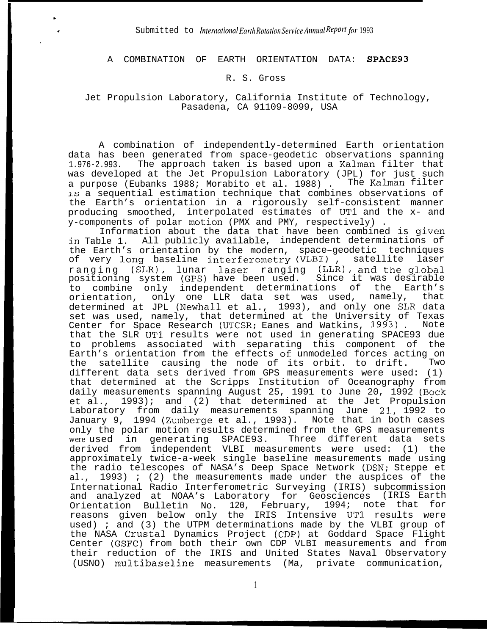\*

*.*

A COMBINATION OF EARTH ORIENTATION DATA: SPACE93

#### R. S. Gross

### Jet Propulsion Laboratory, California Institute of Technology, Pasadena, CA 91109-8099, USA

A combination of independently-determined Earth orientation data has been generated from space-geodetic observations spanning 1.976-2.993. The approach taken is based upon a Kalman filter that was developed at the Jet Propulsion Laboratory (JPL) for just such a purpose (Eubanks 1988; Morabito et al. 1988) . The Kalman filter 1s a sequential estimation technique that combines observations of the Earth's orientation in a rigorously self-consistent manner producing smoothed, interpolated estimates of UT1 and the x- and  $y$ -components of polar motion (PMX and PMY, respectively).

Information about the data that have been combined is given in Table 1. All publicly available, independent determinations of the Earth's orientation by the modern, space–geodetic techniques of very long baseline interferometry (VLBI) , satellite laser ranging (SLR), lunar laser ranging (LLR), and the global positioning system (GPS) have been used. Since it was desirable to combine only independent determinations of the Earth's orientation, only one LLR data set was used, namely, that determined at JPL (Newhall et al., 1993), and only one SLR data set was used, namely, that determined at the University of Texas Center for Space Research (UTCSR; Eanes and Watkins, 1993) . Note that the SLR UT1 results were not used in generating SPACE93 due to problems associated with separating this component of the Earth's orientation from the effects of unmodeled forces acting on the satellite causing the node of its orbit. to drift. Two different data sets derived from GPS measurements were used: (1) that determined at the Scripps Institution of Oceanography from daily measurements spanning August 25, 1991 to June 20, 1992 (Bock et al., 1993); and (2) that determined at the Jet Propulsion Laboratory from daily measurements spanning June 21., 1992 to January 9, 1994 (Zumberge et al., 1993). Note that in both cases only the polar motion results determined from the GPS measurements<br>were used in generating SPACE93. Three different data sets *were* used in generating SPACE93. derived from independent VLBI measurements were used: (1) the approximately twice-a-week single baseline measurements made using the radio telescopes of NASA's Deep Space Network (DSN; Steppe et al., 1993) ; (2) the measurements made under the auspices of the International Radio Interferometric Surveying (IRIS) subcommission and analyzed at NOAA's Laboratory for Geosciences (IRIS Earth Orientation Bulletin No. 120, February, 1994; note that for reasons given below only the IRIS Intensive UT1 results were used) ; and (3) the UTPM determinations made by the VLBI group of the NASA Crustal Dynamics Project (CDP) at Goddard Space Flight Center (GSFC) from both their own CDP VLBI measurements and from their reduction of the IRIS and United States Naval Observatory (USNO) multibaseline measurements (Ma, private communication,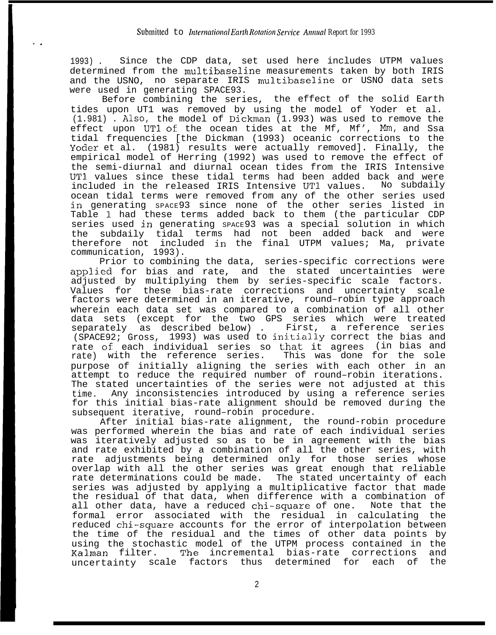. .

1993) . Since the CDP data, set used here includes UTPM values determined from the multibaseline measurements taken by both IRIS and the USNO, no separate IRIS multibaseline or USNO data sets were used in generating SPACE93.

Before combining the series, the effect of the solid Earth tides upon UT1 was removed by using the model of Yoder et al. (1.981) . Also, the model of Dickman (1.993) was used to remove the effect upon UT1 of the ocean tides at the Mf, Mf',  $Mm$ , and Ssa tidal frequencies [the Dickman (1993) oceanic corrections to the Yoder et al. (1981) results were actually removed]. Finally, the empirical model of Herring (1992) was used to remove the effect of the semi-diurnal and diurnal ocean tides from the IRIS Intensive UT1 values since these tidal terms had been added back and were included in the released IRIS Intensive UT1 values. No subdaily ocean tidal terms were removed from any of the other series used in generating space93 since none of the other series listed in Table 1 had these terms added back to them (the particular CDP series used in generating SPACE93 was a special solution in which the subdaily tidal terms had not been added back and were therefore not included in the final UTPM values; Ma, private communication, 1993).

Prior to combining the data, series-specific corrections were applied for bias and rate, and the stated uncertainties were adjusted by multiplying them by series-specific scale factors. Values for these bias-rate corrections and uncertainty scale factors were determined in an iterative, round–robin type approach wherein each data set was compared to a combination of all other data sets (except for the two GPS series which were treated separately as described below) . First, a reference series  $(SPACE92; Gross, 1993)$  was used to initially correct the bias and rate of each individual series so that it agrees (in bias and<br>rate) with the reference series. This was done for the sole rate) with the reference series. purpose of initially aligning the series with each other in an attempt to reduce the required number of round–robin iterations. The stated uncertainties of the series were not adjusted at this time. Any inconsistencies introduced by using a reference series for this initial bias-rate alignment should be removed during the subsequent iterative, round–robin procedure.

After initial bias-rate alignment, the round-robin procedure was performed wherein the bias and rate of each individual series was iteratively adjusted so as to be in agreement with the bias and rate exhibited by a combination of all the other series, with rate adjustments being determined only for those series whose overlap with all the other series was great enough that reliable rate determinations could be made. The stated uncertainty of each series was adjusted by applying a multiplicative factor that made the residual of that data, when difference with a combination of all other data, have a reduced chi-square of one. Note that the formal error associated with the residual in calculating the reduced chi-square accounts for the error of interpolation between the time of the residual and the times of other data points by using the stochastic model of the UTPM process contained in the<br>Kalman filter. The incremental bias-rate corrections and The incremental bias-rate corrections and uncertainty scale factors thus determined for each of the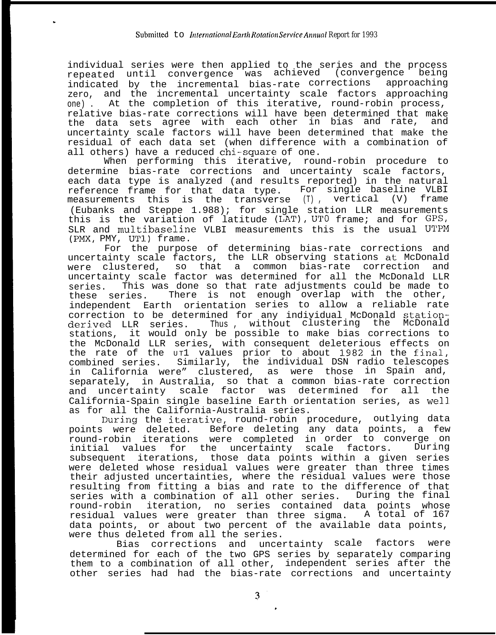individual series were then applied to the series and the process repeated until convergence was achieved (convergence being<br>indicated by the incremental bias-rate corrections approaching indicated by the incremental bias-rate corrections zero, and the incremental uncertainty scale factors approaching one) . At the completion of this iterative, round-robin process, relative bias-rate corrections will have been determined that make<br>the data sets agree with each other in bias and rate, and the data sets agree with each other in bias and rate, uncertainty scale factors will have been determined that make the residual of each data set (when difference with a combination of all others) have a reduced chi-square of one.

When performing this iterative, round-robin procedure to determine bias-rate corrections and uncertainty scale factors, each data type is analyzed (and results reported) in the natural reference frame for that data type. For single baseline VLBI measurements this is the transverse (T) , vertical (V) frame (Eubanks and Steppe 1.988); for single station LLR measurements this is the variation of latitude (LAT), UTO frame; and for GpS, SLR and multibaseline VLBI measurements this is the usual UTPM (PMX, PMY, UT1) frame.

For the purpose of determining bias-rate corrections and uncertainty scale factors, the LLR observing stations at McDonald were clustered, so that a common bias-rate correction and uncertainty scale factor was determined for all the McDonald LLR series. This was done so that rate adjustments could be made to these series. There is not enough overlap with the other, independent Earth orientation series to allow a reliable rate correction to be determined for any individual McDonald stationderj.ved LLR series. Thus , without clustering the McDonald stations, it would only be possible to make bias corrections to the McDonald LLR series, with consequent deleterious effects on the rate of the  $UT1$  values prior to about 1982 in the final, combined series. Similarly, the individual DSN radio telescopes in California were" clustered, as were those in Spain and, separately, in Australia, so that a common bias-rate correction and uncertainty scale factor was determined for all the California-Spain single baseline Earth orientation series, as well as for all the California-Australia series.

During the iterative, round-robin procedure, outlying data points were deleted. Before deleting any data points, a few round-robin iterations were completed in order to converge on initial values for the uncertainty scale factors. During subsequent iterations, those data points within a given series were deleted whose residual values were greater than three times their adjusted uncertainties, where the residual values were those resulting from fitting a bias and rate to the difference of that series with a combination of all other series. During the final round-robin iteration, no series contained data points whose residual values were greater than three sigma. A total of 167 data points, or about two percent of the available data points, were thus deleted from all the series.

Bias corrections and uncertainty scale factors were determined for each of the two GPS series by separately comparing them to a combination of all other, independent series after the other series had had the bias-rate corrections and uncertainty

.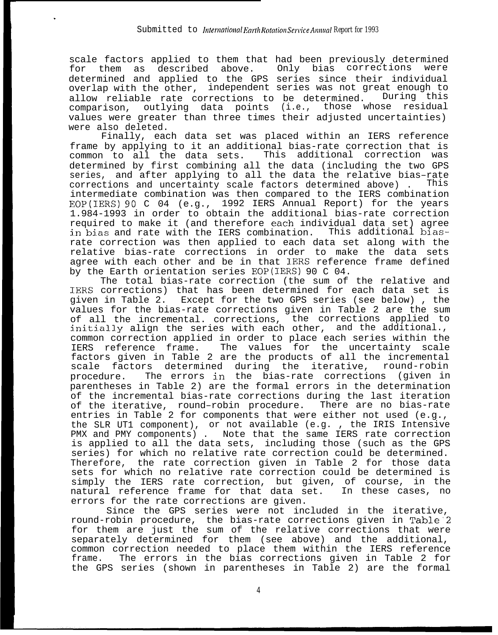scale factors applied to them that had been previously determined<br>for them as described above. Only bias corrections were for them as described above. determined and applied to the GPS series since their individual overlap with the other, independent series was not great enough to<br>allow reliable rate corrections to be determined During this allow reliable rate corrections to be determined. comparison, outlying data points (i.e., those whose residual values were greater than three times their adjusted uncertainties) were also deleted.

Finally, each data set was placed within an IERS reference frame by applying to it an additional bias-rate correction that is<br>common to all the data sets. This additional correction was common to all the data sets. determined by first combining all the data (including the two GPS series, and after applying to all the data the relative bias-rate<br>corrections and uncertainty scale factors determined above) This corrections and uncertainty scale factors determined above). intermediate combination was then compared to the IERS combination EOP(IERS) 90 C 04 (e.g., 1992 IERS Annual Report) for the years 1.984-1993 in order to obtain the additional bias-rate correction required to make it (and therefore each individual data set) agree in bias and rate with the IERS combination. This additional biasrate correction was then applied to each data set along with the relative bias-rate corrections in order to make the data sets agree with each other and be in that IERS reference frame defined by the Earth orientation series EOP(IERS) 90 C 04.

The total bias-rate correction (the sum of the relative and IERS corrections) that has been determined for each data set is given in Table 2. Except for the two GPS series (see below) , the values for the bias-rate corrections given in Table 2 are the sum of all the incremental. corrections, the corrections applied to initially align the series with each other, and the additional., common correction applied in order to place each series within the IERS reference frame. The values for the uncertainty scale factors given in Table 2 are the products of all the incremental scale factors determined during the iterative, round-robin procedure. The errors in the bias-rate corrections (given in parentheses in Table 2) are the formal errors in the determination of the incremental bias-rate corrections during the last iteration of the iterative, round–robin procedure. There are no bias-rate entries in Table 2 for components that were either not used (e.g., the SLR UT1 component), or not available (e.g. , the IRIS Intensive PMX and PMY components) . Note that the same IERS rate correction is applied to all the data sets, including those (such as the GPS series) for which no relative rate correction could be determined. Therefore, the rate correction given in Table 2 for those data sets for which no relative rate correction could be determined is simply the IERS rate correction, but given, of course, in the natural reference frame for that data set. In these cases, no errors for the rate corrections are given.

Since the GPS series were not included in the iterative, round-robin procedure, the bias-rate corrections given in Table'2 for them are just the sum of the relative corrections that were separately determined for them (see above) and the additional, common correction needed to place them within the IERS reference frame. The errors in the bias corrections given in Table 2 for the GPS series (shown in parentheses in Table 2) are the formal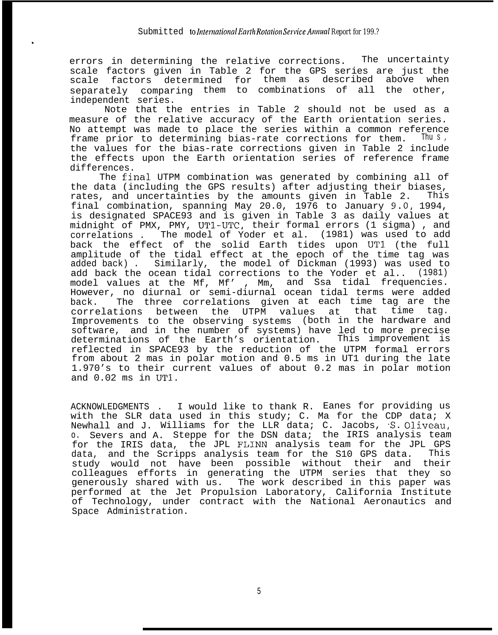errors in determining the relative corrections. The uncertainty scale factors given in Table 2 for the GPS series are just the scale factors determined for them as described above when separately comparing them to combinations of all the other. independent series.

Note that the entries in Table 2 should not be used as a measure of the relative accuracy of the Earth orientation series. No attempt was made to place the series within a common reference frame prior to determining bias-rate corrections for them. Thus, the values for the bias-rate corrections given in Table 2 include the effects upon the Earth orientation series of reference frame differences.

The final UTPM combination was generated by combining all of the data (including the GPS results) after adjusting their biases, rates, and uncertainties by the amounts given in Table 2. This final combination, spanning May 20.0, 1976 to January 9.0, 1994, is designated SPACE93 and is given in Table 3 as daily values at midnight of PMX, PMY, UT1-UTC, their formal errors (1 sigma) , and correlations . The model of Yoder et al. (1981) was used to add back the effect of the solid Earth tides upon UT1 (the full amplitude of the tidal effect at the epoch of the time tag was added back) . Similarly, the model of Dickman (1993) was used to add back the ocean tidal corrections to the Yoder et al.. (1981) model values at the Mf, Mf' , Mm, and Ssa tidal frequencies. However, no diurnal or semi-diurnal ocean tidal terms were added back. The three correlations given at each time tag are the correlations between the UTPM values at that time tag. Improvements to the observing systems (both in the hardware and software, and in the number of systems) have led to more precise determinations of the Earth's orientation. This improvement is reflected in SPACE93 by the reduction of the UTPM formal errors from about 2 mas in polar motion and 0.5 ms in UT1 during the late 1.970's to their current values of about 0.2 mas in polar motion and 0.02 ms in UT1.

ACKNOWLEDGMENTS . I would like to thank R. Eanes for providing us with the SLR data used in this study; C. Ma for the CDP data; X Newhall and J. Williams for the LLR data; C. Jacobs, 'S. Oliveau, o. Severs and A. Steppe for the DSN data; the IRIS analysis team for the IRIS data, the JPL FLINN analysis team for the JPL GPS data, and the Scripps analysis team for the S10 GPS data. This study would not have been possible without their and their colleagues efforts in generating the UTPM series that they so generously shared with us. The work described in this paper was performed at the Jet Propulsion Laboratory, California Institute of Technology, under contract with the National Aeronautics and Space Administration.

5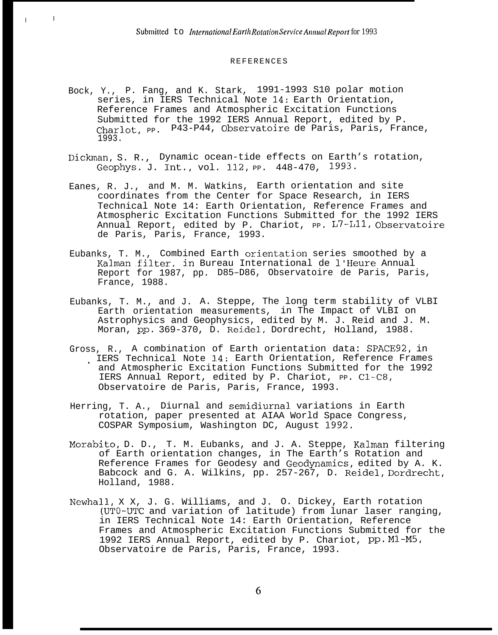I

. .

#### REFERENCES

- Bock, Y., P. Fang, and K. Stark, 1991-1993 S10 polar motion series, in IERS Technical Note 14: Earth Orientation, Reference Frames and Atmospheric Excitation Functions Submitted for the 1992 IERS Annual Report, edited by P. Chariot, PP. P43-P44, Observatoire de Paris, Paris, France, 1993.
- Dickman, S. R., Dynamic ocean-tide effects on Earth's rotation, Geophys. J. Int., vol. 112, PP. 448-470, 1993.
- Eanes, R. J., and M. M. Watkins, Earth orientation and site coordinates from the Center for Space Research, in IERS Technical Note 14: Earth Orientation, Reference Frames and Atmospheric Excitation Functions Submitted for the 1992 IERS Annual Report, edited by P. Chariot, PP. L7-L11, Observatoire de Paris, Paris, France, 1993.
- Eubanks, T. M., Combined Earth orientation series smoothed by a Kalman filter, in Bureau International de l'Heure Annual Report for 1987, pp. D85–D86, Observatoire de Paris, Paris, France, 1988.
- Eubanks, T. M., and J. A. Steppe, The long term stability of VLBI Earth orientation measurements, in The Impact of VLBI on Astrophysics and Geophysics, edited by M. J. Reid and J. M. Moran, pp. 369-370, D. Reidel, Dordrecht, Holland, 1988.
- Gross, R., A combination of Earth orientation data: SPACE92, in IERS Technical Note 14: Earth Orientation, Reference Frames and Atmospheric Excitation Functions Submitted for the 1992 IERS Annual Report, edited by P. Chariot, PP. C1-C8, Observatoire de Paris, Paris, France, 1993.
- Herring, T. A., Diurnal and semidiurnal variations in Earth rotation, paper presented at AIAA World Space Congress, COSPAR Symposium, Washington DC, August 1992.
- Morabito, D. D., T. M. Eubanks, and J. A. Steppe, Kalman filtering of Earth orientation changes, in The Earth's Rotation and Reference Frames for Geodesy and Geodynamics, edited by A. K. Babcock and G. A. Wilkins, pp. 257-267, D. Reidel, Dordrecht, Holland, 1988.
- Newhall, X X, J. G. Williams, and J. O. Dickey, Earth rotation (UTO-UTC and variation of latitude) from lunar laser ranging, in IERS Technical Note 14: Earth Orientation, Reference Frames and Atmospheric Excitation Functions Submitted for the 1992 IERS Annual Report, edited by P. Chariot, pp. Ml-MS, Observatoire de Paris, Paris, France, 1993.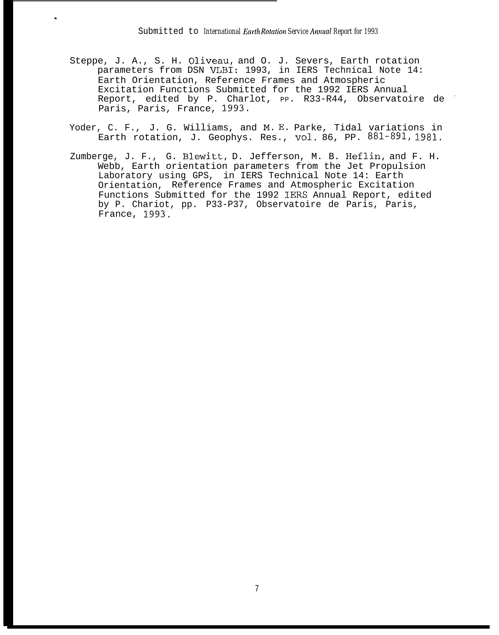- Steppe, J. A., S. H. Oliveau, and O. J. Severs, Earth rotation parameters from DSN VLBI: 1993, in IERS Technical Note 14: Earth Orientation, Reference Frames and Atmospheric Excitation Functions Submitted for the 1992 IERS Annual Report, edited by P. Charlot, PP. R33-R44, Observatoire de Paris, Paris, France, 1993.
- Yoder, C. F., J. G. Williams, and M. E. Parke, Tidal variations in Earth rotation, J. Geophys. Res., VO1. 86, PP. 881-891, 1981.
- Zumberge, J. F., G. Blewitt, D. Jefferson, M. B. Heflin, and F. H. Webb, Earth orientation parameters from the Jet Propulsion Laboratory using GPS, in IERS Technical Note 14: Earth Orientation, Reference Frames and Atmospheric Excitation Functions Submitted for the 1992 IERS Annual Report, edited by P. Chariot, pp. P33-P37, Observatoire de Paris, Paris, France, 1993,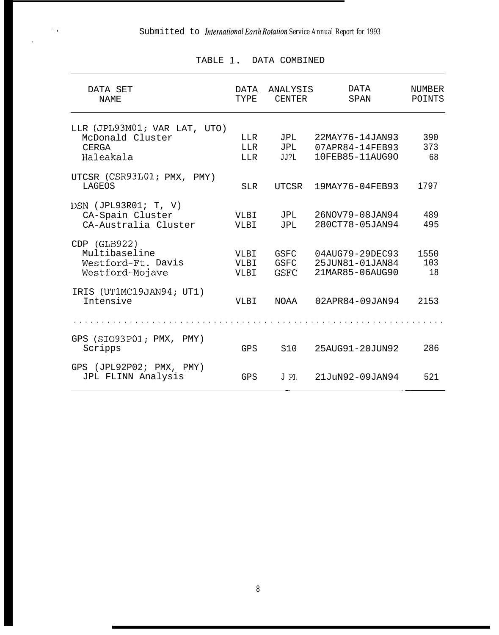# ., Submitted to *International Earth Rotation Service Annual Report for 1993*

*.*

| DATA SET<br>NAME                                                       | DATA<br><b>TYPE</b>               | ANALYSIS<br><b>CENTER</b>   | DATA<br>SPAN                                          | NUMBER<br>POINTS  |
|------------------------------------------------------------------------|-----------------------------------|-----------------------------|-------------------------------------------------------|-------------------|
| LLR (JPL93M01; VAR LAT, UTO)<br>McDonald Cluster<br>CERGA<br>Haleakala | <b>LLR</b><br>T.T.R<br><b>LLR</b> | JPL<br><b>JPL</b><br>JJ?L   | 22MAY76-14JAN93<br>07APR84-14FEB93<br>10FEB85-11AUG90 | 390<br>373<br>68  |
| UTCSR (CSR93L01; PMX, PMY)<br>LAGEOS                                   | <b>SLR</b>                        | UTCSR                       | 19MAY76-04FEB93                                       | 1797              |
| DSN (JPL93R01; T, V)<br>CA-Spain Cluster<br>CA-Australia Cluster       | VLBI<br><b>VLBI</b>               | JPL<br><b>JPL</b>           | 26NOV79-08JAN94<br>280CT78-05JAN94                    | 489<br>495        |
| CDP (GLB922)<br>Multibaseline<br>Westford-Ft. Davis<br>Westford-Mojave | VLBI<br>VLBI<br><b>VLBI</b>       | GSFC<br>GSFC<br><b>GSFC</b> | 04AUG79-29DEC93<br>25JUN81-01JAN84<br>21MAR85-06AUG90 | 1550<br>103<br>18 |
| IRIS (UT1MC19JAN94; UT1)<br>Intensive                                  | VLBT                              | NOAA                        | 02APR84-09JAN94                                       | 2153              |
|                                                                        |                                   |                             |                                                       |                   |
| GPS (SIO93P01; PMX, PMY)<br>Scripps                                    | GPS                               | S10                         | 25AUG91-20JUN92                                       | 286               |
| GPS (JPL92P02; PMX, PMY)<br>JPL FLINN Analysis                         | GPS                               | J PL                        | 21JuN92-09JAN94                                       | 521               |

## TABLE 1. DATA COMBINED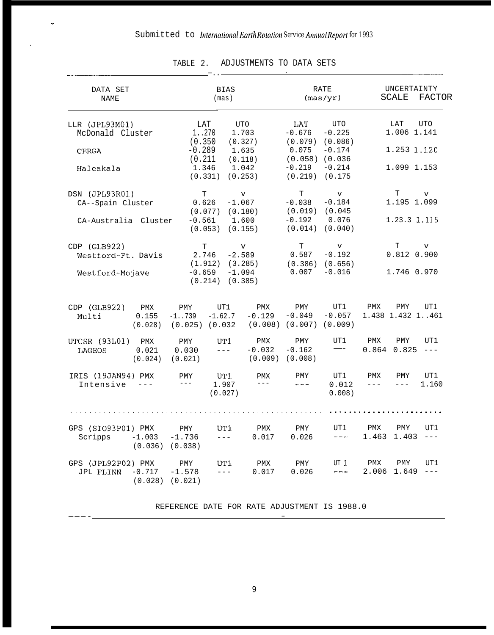*.*

|                                                             |                         | TABLE 2.                       |                               | ADJUSTMENTS TO DATA SETS          |                                                 |                                              |                         |                              |                                  |
|-------------------------------------------------------------|-------------------------|--------------------------------|-------------------------------|-----------------------------------|-------------------------------------------------|----------------------------------------------|-------------------------|------------------------------|----------------------------------|
| DATA SET<br>NAME                                            |                         |                                | <b>BIAS</b><br>(max)          |                                   |                                                 | <b>RATE</b><br>(max/yr)                      | SCALE                   | UNCERTAINTY<br><b>FACTOR</b> |                                  |
| LLR (JPL93M01)<br>McDonald Cluster                          | LAT<br>1. .270          |                                | <b>UTO</b><br>1.703           | LAT<br>$-0.676$                   | UTO<br>$-0.225$                                 |                                              | LAT<br>1.006 1.141      | UTO                          |                                  |
| <b>CERGA</b>                                                |                         | (0.350)<br>$-0.289$<br>(0.211) |                               | (0.327)<br>1.635<br>(0.118)       | (0.079)<br>0.075<br>(0.058)                     | (0.086)<br>$-0.174$<br>(0.036)               |                         |                              | 1.253 1.120                      |
| Haleakala                                                   | 1.346                   | (0.331)                        | 1.042<br>(0.253)              | $-0.219$<br>(0.219)               | $-0.214$<br>(0.175)                             |                                              | 1.099 1.153             |                              |                                  |
| DSN (JPL93R01)<br>CA--Spain Cluster<br>CA-Australia Cluster |                         | T<br>0.626<br>$-0.561$         | (0.180)<br>(0.077)<br>(0.053) | v<br>$-1.067$<br>1.600<br>(0.155) | T<br>$-0.038$<br>(0.019)<br>$-0.192$<br>(0.014) | v<br>$-0.184$<br>(0.045)<br>0.076<br>(0.040) |                         | Т                            | v<br>1.195 1.099<br>1.23.3 1.115 |
| CDP (GLB922)<br>Westford-Ft. Davis                          |                         | $\mathbb T$<br>2.746           | $(1.912)$ $(3.285)$           | v<br>$-2.589$                     | T<br>0.587<br>(0.386)                           | $\mathbf v$<br>$-0.192$<br>(0.656)           |                         | Т                            | $\mathbf v$<br>$0.812$ $0.900$   |
| Westford-Mojave                                             |                         | $-0.659$                       | (0.214)<br>(0.385)            | $-1.094$                          | 0.007                                           | $-0.016$                                     |                         |                              | 1.746 0.970                      |
| CDP (GLB922)<br>Multi                                       | PMX<br>0.155<br>(0.028) | PMY<br>$-1.0739$<br>(0.025)    | UT1<br>$-1.62.7$<br>(0.032)   | PMX<br>$-0.129$<br>(0.008)        | PMY<br>$-0.049$<br>(0.007)                      | UT1<br>$-0.057$<br>(0.009)                   | PMX<br>1.438 1.432 1461 | PMY                          | UT1                              |
| UTCSR (93L01)<br>LAGEOS                                     | PMX<br>0.021<br>(0.024) | PMY<br>0.030<br>(0.021)        | UT1<br>$---$                  | PMX<br>$-0.032$<br>(0.009)        | PMY<br>$-0.162$<br>(0.008)                      | UT1                                          | PMX<br>0.864            | PMY<br>0.825                 | UT1<br>$---$                     |
| IRIS (19JAN94) PMX<br>Intensive                             | $- - -$                 | PMY<br>$---$                   | UT1<br>1.907<br>(0.027)       | PMX<br>$---$                      | PMY<br>$- - -$                                  | UT1<br>0.012<br>0.008)                       | PMX<br>$---$            | PMY<br>$---$                 | UT1<br>1.160                     |
|                                                             |                         |                                |                               |                                   |                                                 |                                              |                         |                              |                                  |
| GPS (SIO93P01) PMX<br>Scripps                               | $-1.003$<br>(0.036)     | PMY<br>$-1.736$<br>(0.038)     | UT1<br>$\qquad \qquad - -$    | PMX<br>0.017                      | PMY<br>0.026                                    | UT1<br>$- - -$                               | PMX<br>1.463            | PMY<br>1.403                 | UT1<br>$---$                     |
| GPS (JPL92P02) PMX<br>JPL FLINN                             | $-0.717$<br>(0.028)     | PMY<br>$-1.578$<br>(0.021)     | UT1<br>$---$                  | PMX<br>0.017                      | PMY<br>0.026                                    | UT 1<br>$- - -$                              | PMX<br>2.006            | PMY<br>1.649                 | UT1<br>$---$                     |

REFERENCE DATE FOR RATE ADJUSTMENT IS 1988.0

——— - —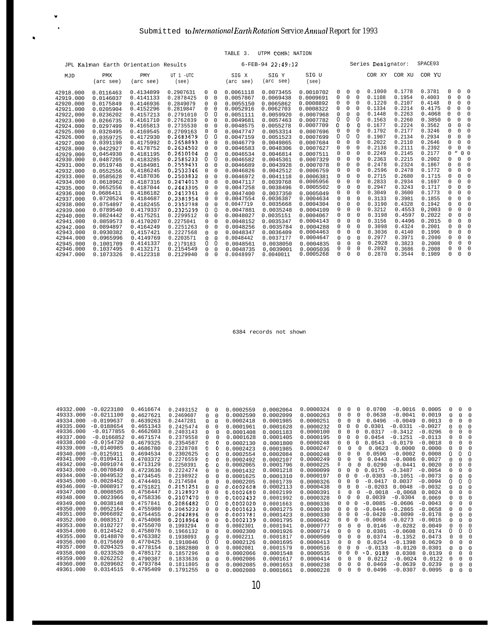" .

 $\ddot{\phantom{1}}$ 

|                                                                                                                                                                                                                                                                  |                                                                                                                                                                                                                                                                  | JPL Kalman Earth Orientation Results                                                                                                                                                                                                                             |                                                                                                                                                                                                                                                                  | $6 - FEB - 94$ 22:49:12                                                                                                                        |                                                                                                                                                                                                 |                                                                                                                                                                                                                                                                  |                                                                                                                                                                                                                                                                  |                                                                                                                                                                                                                                                                  |                                                                                                                |                                                                                                                             | Series Designator:                                                                                                                                                                  |                                                                                                                                                                                                      | SPACE93                                                                                                                                                                                              |                                                                                                                                                                                                      |                                                                                                                |                                                                                                                                                                                                                                |                                                                                                                                                                |
|------------------------------------------------------------------------------------------------------------------------------------------------------------------------------------------------------------------------------------------------------------------|------------------------------------------------------------------------------------------------------------------------------------------------------------------------------------------------------------------------------------------------------------------|------------------------------------------------------------------------------------------------------------------------------------------------------------------------------------------------------------------------------------------------------------------|------------------------------------------------------------------------------------------------------------------------------------------------------------------------------------------------------------------------------------------------------------------|------------------------------------------------------------------------------------------------------------------------------------------------|-------------------------------------------------------------------------------------------------------------------------------------------------------------------------------------------------|------------------------------------------------------------------------------------------------------------------------------------------------------------------------------------------------------------------------------------------------------------------|------------------------------------------------------------------------------------------------------------------------------------------------------------------------------------------------------------------------------------------------------------------|------------------------------------------------------------------------------------------------------------------------------------------------------------------------------------------------------------------------------------------------------------------|----------------------------------------------------------------------------------------------------------------|-----------------------------------------------------------------------------------------------------------------------------|-------------------------------------------------------------------------------------------------------------------------------------------------------------------------------------|------------------------------------------------------------------------------------------------------------------------------------------------------------------------------------------------------|------------------------------------------------------------------------------------------------------------------------------------------------------------------------------------------------------|------------------------------------------------------------------------------------------------------------------------------------------------------------------------------------------------------|----------------------------------------------------------------------------------------------------------------|--------------------------------------------------------------------------------------------------------------------------------------------------------------------------------------------------------------------------------|----------------------------------------------------------------------------------------------------------------------------------------------------------------|
| MJD                                                                                                                                                                                                                                                              | <b>PMX</b><br>(arc see)                                                                                                                                                                                                                                          | PMY<br>(arc see)                                                                                                                                                                                                                                                 | $-UTC$<br>UT <sub>1</sub><br>(see)                                                                                                                                                                                                                               |                                                                                                                                                |                                                                                                                                                                                                 | SIG X<br>(arc see)                                                                                                                                                                                                                                               | SIG Y<br>(arc see)                                                                                                                                                                                                                                               | SIG U<br>(see)                                                                                                                                                                                                                                                   |                                                                                                                |                                                                                                                             |                                                                                                                                                                                     | COR XY                                                                                                                                                                                               | COR XU                                                                                                                                                                                               | COR YU                                                                                                                                                                                               |                                                                                                                |                                                                                                                                                                                                                                |                                                                                                                                                                |
| 42918.000<br>42919.000<br>42920.000<br>42921.000<br>42922,000<br>42923.000<br>42924.000<br>42925.000<br>42926.000<br>42927.000<br>42928.000<br>42929.000<br>42930.000<br>42931.000<br>42932.000<br>42933.000<br>42934.000<br>42935.000<br>42936.000<br>42937.000 | 0.0116463<br>0.0146037<br>0.0175849<br>0.0205904<br>0.0236202<br>0.0266735<br>0.0297499<br>0.0328495<br>0.0359725<br>0.0391198<br>0.0422927<br>0.0454930<br>0.0487205<br>0.0519748<br>0.0552556<br>0.0585628<br>0.0618962<br>0.0652556<br>0.0686411<br>0.0720524 | 0.4134899<br>0.4141133<br>0.4146936<br>0.4152296<br>0.4157213<br>0.4161710<br>0.4165813<br>0.4169545<br>0.4172930<br>0.4175992<br>0.4178752<br>0.4181195<br>0.4183285<br>0.4184981<br>0.4186245<br>0.4187036<br>0.4187316<br>0.4187044<br>0.4186182<br>0.4184687 | 0.2907631<br>0.2878425<br>0.2849079<br>0.2819847<br>0.2791010<br>0.2762839<br>0.2735530<br>0.2709163<br>0.2683679<br>0.2658893<br>0.2634502<br>0.2610104<br>0.2585233<br>0.2559431<br>0.2532346<br>0.2503832<br>0.2474013<br>0.2443305<br>0.2412361<br>0.2381954 | 0<br>$\Omega$<br>$\Omega$<br>0<br>0<br>0<br>0<br>0<br>0<br>0<br>$\mathbf{0}$<br>0<br>0<br>$\Omega$<br>0<br>0<br>0<br>$\Omega$<br>$\Omega$<br>0 | $\Omega$<br>$\Omega$<br>$\Omega$<br>0<br>$\Omega$<br>$\Omega$<br>0<br>$\Omega$<br>$\Omega$<br>$\Omega$<br>0<br>$\Omega$<br>$\Omega$<br>$\Omega$<br>$\Omega$<br>$\Omega$<br>$\Omega$<br>$\Omega$ | 0.0061118<br>0.0057867<br>0.0055150<br>0.0052916<br>0.0051111<br>0.0049681<br>0.0048575<br>0.0047747<br>0.0047159<br>0.0046779<br>0.0046583<br>0.0046534<br>0.0046582<br>0.0046689<br>0.0046826<br>0.0046972<br>0.0047117<br>0.0047258<br>0.0047400<br>0.0047554 | 0.0073455<br>0.0069438<br>0.0065862<br>0.0062703<br>0.0059920<br>0.0057463<br>0.0055278<br>0.0053314<br>0.0051523<br>0.0049865<br>0.0048306<br>0.0046814<br>0.0045361<br>0.0043928<br>0.0042512<br>0.0041118<br>0.0039768<br>0.0038496<br>0.0037350<br>0.0036387 | 0.0010702<br>0.0009691<br>0.0008892<br>0.0008322<br>0.0007968<br>0.0007782<br>0.0007709<br>0.0007696<br>0.0007699<br>0.0007684<br>0.0007627<br>0.0007511<br>0.0007329<br>0.0007078<br>0.0006759<br>0.0006381<br>0.0005956<br>0.0005502<br>0.0005049<br>0.0004634 | 0<br>0<br>0<br>0<br>$\Omega$<br>0<br>0<br>0<br>0<br>$\Omega$<br>0<br>0<br>0<br>0<br>0<br>0<br>0<br>0<br>0<br>0 | $\Omega$<br>$\mathbf 0$<br>$\mathbf 0$<br>0<br>0<br>0<br>0<br>0<br>0<br>0<br>0<br>0<br>0<br>0<br>0<br>0<br>0<br>0<br>0<br>0 | $\Omega$<br>$\mathbf 0$<br>$\mathbf 0$<br>0<br>$\Omega$<br>0<br>$\Omega$<br>0<br>0<br>$\Omega$<br>0<br>0<br>0<br>0<br>$\Omega$<br>$\Omega$<br>$\Omega$<br>$\Omega$<br>0<br>$\Omega$ | 0.1000<br>0.1108<br>0.1220<br>0.1334<br>0.1448<br>0.1563<br>0.1677<br>0.1792<br>0.1907<br>0.2022<br>0.2136<br>0.2249<br>0.2363<br>0.2478<br>0.2596<br>0.2715<br>0.2833<br>0.2947<br>0.3049<br>0.3133 | 0.1778<br>0.1954<br>0.2107<br>0.2214<br>0.2263<br>0.2260<br>0.2224<br>0.2177<br>0.2134<br>0.2110<br>0.2111<br>0.2145<br>0.2215<br>0.2324<br>0.2478<br>0.2680<br>0.2934<br>0.3243<br>0.3600<br>0.3981 | 0.3781<br>0.4003<br>0.4148<br>0.4175<br>0.4068<br>0.3850<br>0.3562<br>0.3246<br>0.2934<br>0.2646<br>0.2392<br>0.2177<br>0.2002<br>0.1867<br>0.1772<br>0.1715<br>0.1697<br>0.1717<br>0.1773<br>0.1855 | 0<br>$\Omega$<br>0<br>$\Omega$<br>0<br>0<br>0<br>0<br>0<br>0<br>0<br>0<br>0<br>0<br>0<br>0<br>0<br>0<br>0<br>0 | $\Omega$<br>$\mathbf 0$<br>$\Omega$<br>$\Omega$<br>$\Omega$<br>$\Omega$<br>$\mathbf 0$<br>0<br>$\Omega$<br>$\Omega$<br>0<br>$^{\prime\prime}$<br>$\mathbf 0$<br>$\mathbf 0$<br>$\Omega$<br>$\Omega$<br>0<br>0<br>0<br>$\Omega$ | $\cap$<br>$\Omega$<br>$\Omega$<br>$\Omega$<br>$\Omega$<br>$\Omega$<br>$\cap$<br>$\cap$<br>O<br>$\Omega$<br>O<br>0 <sup>0</sup><br>$\Omega$<br>O<br>n<br>O<br>O |
| 42938.000<br>42939.000<br>42940.000<br>42941.000                                                                                                                                                                                                                 | 0.0754897<br>0.0789540<br>0.0824442<br>0.0859573                                                                                                                                                                                                                 | 0.4182455<br>0.4179337<br>0.4175251<br>0.4170207                                                                                                                                                                                                                 | 0.2352788<br>0.2325299<br>0.2299512<br>0.2275041                                                                                                                                                                                                                 | $\Omega$<br>0<br>0<br>$\Omega$                                                                                                                 | $\Omega$<br>0<br>$\Omega$<br>$\Omega$                                                                                                                                                           | 0.0047719<br>0.0047881<br>0.0048027<br>0.0048152                                                                                                                                                                                                                 | 0.0035668<br>0.0035248<br>0.0035151<br>0.0035347                                                                                                                                                                                                                 | 0.0004304<br>0.0004109<br>0.0004067<br>0.0004143                                                                                                                                                                                                                 | 0<br>0<br>0<br>0                                                                                               | 0<br>0<br>0<br>0                                                                                                            | $\Omega$<br>0<br>$\Omega$<br>$\Omega$                                                                                                                                               | 0.3190<br>0.3212<br>0.3198<br>0.3156                                                                                                                                                                 | 0.4328<br>0.4553<br>0.4597<br>0.4496                                                                                                                                                                 | 0.1942<br>0,2003<br>0.2022<br>0.2015                                                                                                                                                                 | 0<br>0<br>0<br>0                                                                                               | $\Omega$<br>0<br>0<br>$\Omega$                                                                                                                                                                                                 | O<br>O<br>O<br>O                                                                                                                                               |
| 42942.000<br>42943.000<br>42944.000<br>42945.000<br>42946.000                                                                                                                                                                                                    | 0.0894897<br>0.0930382<br>0.0965996<br>0.1001709<br>0.1037495                                                                                                                                                                                                    | 0.4164249<br>0,4157421<br>0.4149769<br>0.4141337<br>0.4132171                                                                                                                                                                                                    | 0.2251263<br>0.2227568<br>0.2203571<br>0.2)79183<br>0.2154549                                                                                                                                                                                                    | 0<br>$\Omega$<br>$\Omega$<br>0<br>0                                                                                                            | $\Omega$<br>$\Omega$<br>$\Omega$<br>0<br>$\Omega$                                                                                                                                               | 0.0048256<br>0.0048347<br>0.0048442<br>0.0048561<br>0.0048735                                                                                                                                                                                                    | 0.0035784<br>0.0036409<br>0.0037177<br>0.0038050<br>0,0039001                                                                                                                                                                                                    | 0.0004288<br>0.0004463<br>0.0004647<br>0.0004835<br>0.0005036                                                                                                                                                                                                    | 0<br>0<br>0<br>0<br>0                                                                                          | 0<br>0<br>0<br>0<br>0                                                                                                       | $\Omega$<br>$\Omega$<br>$\Omega$<br>$\Omega$<br>0                                                                                                                                   | 0.3098<br>0.3036<br>0.2977<br>0.2928<br>0.2892                                                                                                                                                       | 0.4324<br>0.4140<br>0.3971<br>0.3823<br>0.3686                                                                                                                                                       | 0.2001<br>0.1996<br>0.2000<br>0.2008<br>0.2008                                                                                                                                                       | 0<br>0<br>0<br>0<br>U                                                                                          | $\Omega$<br>$\Omega$<br>$\Omega$<br>0<br>0                                                                                                                                                                                     | O<br>$\cap$<br>O<br>0<br>$\Omega$                                                                                                                              |
| 42947.000                                                                                                                                                                                                                                                        | 0.1073326                                                                                                                                                                                                                                                        | 0.4122318                                                                                                                                                                                                                                                        | 0.2129940                                                                                                                                                                                                                                                        | $\Omega$                                                                                                                                       | $\Omega$                                                                                                                                                                                        | 0.0048997                                                                                                                                                                                                                                                        | 0.0040011                                                                                                                                                                                                                                                        | 0.0005268                                                                                                                                                                                                                                                        | $\Omega$                                                                                                       | 0                                                                                                                           | $\Omega$                                                                                                                                                                            | 0.2870                                                                                                                                                                                               | 0.3544                                                                                                                                                                                               | 0.1989                                                                                                                                                                                               | $\Omega$                                                                                                       | $\Omega$                                                                                                                                                                                                                       |                                                                                                                                                                |

TABLE 3. UTPM COMB] NATION

6384 records not shown

| 49332.000 | $-0.0223180$   | 0.4616674 | 0.2493152 | $\Omega$     | $\Omega$     | 0.0002559 | 0.0002064 | 0.0000324 | 0            | 0            |              | 0.0700    | $-0.0016$ | 0.0005    |              | O. | $\Omega$ |
|-----------|----------------|-----------|-----------|--------------|--------------|-----------|-----------|-----------|--------------|--------------|--------------|-----------|-----------|-----------|--------------|----|----------|
| 49333.000 | $-0.0211100$   | 0.4627621 | 0.2469607 | $\Omega$     | <sup>0</sup> | 0.0002590 | 0.0002099 | 0.0000263 | <sup>n</sup> | <sup>n</sup> |              | 0.0638    | $-0.0041$ | 0.0019    | <sup>n</sup> | U. |          |
| 49334.000 | $-0.0199637$   | 0.4639263 | 0.2447281 | $\Omega$     |              | 0.0002418 | 0.0001985 | 0.0000251 |              | 0            |              | 0.0496    | $-0.0049$ | 0.0013    |              |    |          |
| 49335.000 | $-0.0188654$   | 0.4651343 | 0.2425474 | <sup>n</sup> | U.           | 0.0001961 | 0.0001628 | 0.0000232 |              | 0            |              | 0.0301    | $-0.0331$ | $-0.0027$ |              |    |          |
| 49336.000 | $-0.0177855$   | 0.4662603 | 0.2403143 | $\Omega$     | U            | 0.0001408 | 0.0001183 | 0.0000100 |              | 0            | $\Omega$     | 0.0317    | $-0.3412$ | $-0.0296$ |              |    |          |
| 49337.000 | $-0.0166852$   | 0.4671574 | 0.2379558 | <sup>n</sup> | U            | 0.0001628 | 0.0001405 | 0.0000195 |              | 0            | <sup>n</sup> | 0.0454    | $-0.1251$ | $-0.0113$ |              |    |          |
| 49338.000 | $-0.0$ ) 54720 | 0.4679325 | 0.2354587 | 0            |              | 0.0002130 | 0.0001800 | 0.0000248 |              | 0            | 0            | 0.0543    | $-0.0179$ | $-0.0018$ |              |    |          |
| 49339.000 | $-0.0140985$   | 0.4686780 | 0.2328708 | O            |              | 0.0002423 | 0.0001985 | 0.0000247 |              | 0            | 0            | 0.0623    | 0.0000    | 0.0000    |              |    |          |
| 49340.000 | $-0.0125911$   | 0.4694534 | 0.2302625 | 0.           |              | 0.0002554 | 0.0002084 | 0.0000248 |              | 0            |              | 0.0596    | $-0.0002$ | 0.0008    |              |    | 0        |
| 49341.000 | $-0.0109411$   | 0.4703372 | 0.2276559 | 0            |              | 0.0002492 | 0.0002107 | 0.0000249 |              | 0            | 0            | 0.0443    | $-0.0086$ | 0.0027    |              |    |          |
| 49342.000 | $-0.0091074$   | 0.4713129 | 0.2250391 | 0            |              | 0.0002065 | 0.0001796 | 0.0000225 |              |              |              | 0.0290    | $-0.0441$ | 0.0020    |              |    |          |
| 49343.000 | $-0.0070849$   | 0.4723636 | 0.2224274 | <sup>n</sup> |              | 0.0001432 | 0.0001218 | 0.0000099 |              | 0            | U            | 0.0175    | $-0.3487$ | $-0.0054$ |              |    |          |
| 49344.000 | $-0.0049532$   | 0.4734545 | 0.2198922 | O.           |              | 0.0001625 | 0.0001310 | 0.0000197 |              | $\Omega$     |              | $-0.0303$ | $-0.1051$ | $-0.0073$ |              |    |          |
| 49345.000 | $-0.0028452$   | 0.4744401 | 0.2174584 | $\Omega$     |              | 0.0002205 | 0.0001739 | 0.0000326 |              | 0            | $\Omega$     | $-0.0417$ | 0.0037    | $-0.0094$ |              | 0  | 0        |
| 49346.000 | $-0.0008917$   | 0.4751821 | 0.2151251 | $\Omega$     | 0            | 0.0002608 | 0.0002113 | 0.0000438 |              | 0            |              | $-0.0203$ | 0.0048    | $-0.0032$ |              |    |          |
| 49347.000 | 0.0008505      | 0.4756447 | 0.2128927 | <sup>n</sup> | 0            | 0.0002680 | 0.0002199 | 0.0000391 |              | 0            |              | $-0.0018$ | $-0.0068$ | 0.0024    |              |    |          |
| 49348.000 | 0.0023966      | 0.4758336 | 0.2107470 | 0            | 0            | 0.0002432 | 0.0001992 | 0.0000328 |              | 0            |              | 0.0039    | $-0.0304$ | 0.0069    |              |    |          |
| 49349.000 | 0.0038148      | 0.4757841 | 0.2086482 | 0            | 0            | 0.0002020 | 0.0001663 | 0.0000336 |              | <sup>n</sup> |              | $-0.0085$ | $-0.0606$ | $-0.0043$ |              |    |          |
| 49350.000 | 0.0052164      | 0.4755980 | 0.2065222 | 0            | <sup>0</sup> | 0.0001623 | 0.0001275 | 0.0000130 |              | $\Omega$     | $\Omega$     | $-0.0446$ | $-0.2865$ | $-0.0658$ |              |    |          |
| 49351.000 | 0.0066892      | 0.4754455 | 0.2042896 | $\Omega$     | 0            | 0.0001781 | 0.0001423 | 0.0000330 |              |              |              | $-0.0420$ | $-0.0890$ | $-0.0178$ |              |    |          |
| 49352.000 | 0.0083517      | 0.4754008 | 0.2018964 | <sup>n</sup> | <sup>n</sup> | 0.0002139 | 0.0001795 | 0.0000642 |              | $\Omega$     | $\cap$       | $-0.0068$ | $-0.0273$ | $-0.0016$ |              |    |          |
| 49353.000 | 0.0102727      | 0.4755070 | 0.1993294 | 0            |              | 0.0002301 | 0.0001941 | 0.0000777 |              | 0            | <sup>n</sup> | 0.0146    | $-0.0282$ | 0.0049    |              |    |          |
| 49354.000 | 0.0124542      | 0.4758076 | 0.1966132 | 0            |              | 0.0002300 | 0.0001926 | 0.0000714 |              | <sup>n</sup> |              | 0.0301    | $-0.0608$ | 0.0174    |              | 0  |          |
| 49355.000 | 0.0148870      | 0.4763382 | 0.1938093 | 0            | $\Omega$     | 0.0002211 | 0.0001817 | 0.0000509 |              | $\Omega$     |              | 0.0374    | $-0.1352$ | 0.0473    |              |    |          |
| 49356.000 | 0.0175669      | 0.4770425 | 0.1910046 | 0            | 0            | 0.0002126 | 0.0001695 | 0.0000413 |              | n            |              | 0.0254    | $-0.1398$ | 0.0629    |              |    |          |
| 49357.000 | 0.0204325      | 0.4778154 | 0.1882880 | 0            | n            | 0.0002081 | 0.0001579 | 0.0000516 |              | 0            |              | $-0.0133$ | $-0.0120$ | 0.0301    |              | U  |          |
| 49358.000 | 0.0233520      | 0.4785172 | 0.1857296 | 0            |              | 0.0002066 | 0.0001548 | 0.0000535 |              | 0            |              | -0.0189   | 0.0308    | 0.0139    |              |    |          |
| 49359.000 | 0.0262252      | 0.4790387 | 0.1833636 | 0            | n            | 0.0002086 | 0.0001617 | 0.0000414 |              |              |              | 0.0212    | $-0.0024$ | 0.0122    |              |    |          |
| 49360.000 | 0.0289602      | 0.4793784 | 0.1811805 | 0            |              | 0.0002085 | 0.0001653 | 0.0000238 |              | n            |              | 0.0469    | $-0.0639$ | 0.0239    |              |    |          |
| 49361.000 | 0.0314515      | 0.4795409 | 0.1791255 | O.           |              | 0.0002080 | 0.0001661 | 0.0000228 |              |              |              | 0.0496    | $-0.0307$ | 0.0095    |              |    |          |
|           |                |           |           |              |              |           |           |           |              |              |              |           |           |           |              |    |          |